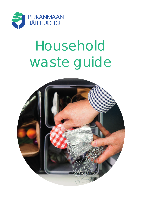

# Household waste guide

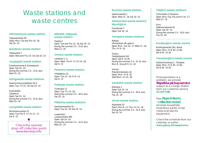# Waste stations and waste centres

#### **Hämeenkyrö waste station**

Tippavaarantie 30 Open: Mon, Tue and Thu 14–18, Sat 10–14

#### **Ikaalinen waste station**

Teijärventie 7 Open: Wed and Thu 14–18, Sat 10–14

#### **Juupajoki waste station**

Puhdistamontie 6, Korkeakoski Open: Sat 10–14, During the summer 2.5.–31.8. also Wed 15–19

#### **Kangasala waste stations**

Kaarina Maununtyttären tie 6 Open: Tue–Fri 14–18, Sat 10–14

Kuhmalahti: Taidetie 6 Open: Sat 10–14, During the summer 2.5.–31.8. also Wed 15–19

#### **Lempäälä waste station**

Moisiolammentie 23 Open: Tue-Thu 9–17, Fri 11–17, Sat 9–15

Check the nearest Wed 15–19 drop-off collection point: www.kierrätys.info

# **Mänttä-Vilppula waste station**

Pajatie 2 Open: Tue and Thu 12–18, Sat 10–14 During the summer 2.5.–31.8. also Wed 12–18

#### **Orivesi waste station**

Lenkkitie 2–4 Open: Wed–Thu 9–17, Fri 14–18, Sat 9–15

#### **Parkano waste station**

Yrittäjäkatu 10 Open: Tue 12–18, Fri 9–12, Sat 9–13

#### **Pirkkala waste station**

Turkkirata 12 Open: Tue–Fri 14–18, During the summer 2.5.–30.9. also Sat 10–14

#### **Pälkäne waste stations**

Kankaanmaantie 16 Open: Tue 14–18, Sat 10–14

Luopioinen: Luopioistentie 495 Open: Sat 10–14, During the summer 2.5.–31.8. also

#### **Ruovesi waste station**

Saarismaantie 1 Open: Wed 12–18, Sat 10–14

#### **Sastamala waste station/ Mouhijärvi**

Pynnärintie 7 Open: Sat 10–14

#### **Tampere waste stations**

Nekala: Viinikankatu 46, gate A Open: Mon–Tue 10–17, Wed 11–18, Thu–Fri 9–16

Teisko: Terälahdentie 243 Open: Sat 8–15.30 During the summer 2.5.–31.10. also Mon 9–16 and Fri 11–18

Vuores: Mäyränmäenkatu 18 Open: Mon–Fri 8–20 Staff Mon–Fri 15–18

#### **Vesilahti waste station**

Mäntytie 1 Open: Sat 10–14 During the summer 2.5.–30.9. also Tue 14–18

### **Virrat waste station**

Ahjolantie 25 Open: Mon 8–12, Thu–Fri 13–18, During the summer 2.5.–31.8. also Sat 10–14

## **Ylöjärvi waste stations**

Toimintatie 4, Elovainio Open: Mon, Tue, Thu and Fri 10–17, Wed 12–19

Kuru: Sääksinnokantie 91 Open: Sat 10–14 During the summer 2.5.–30.9. also  $T_{\text{II}}$   $(14-18)$ 

#### **Koukkujärvi waste centre**

Koukkujärventie 361, Nokia Open: Mon–Fri 6.30–21.00, Sat 8.30–15.30

#### **Tarastenjärvi waste centre**

Hyötyvoimankuja 2 , Tampere Open: Mon–Fri 6.30–21.00, Sat 8.30–15.30

If transportation is a problem, we provide **Repsikka pickup service** subject to a charge. Orders from our customer service **03 240 5110**.

# Free **Repe & Romu -collection round**

receives household hazardous waste, scrap metal and electric equipment.

Check the schedule from our calendar or online **www.pjhoy.fi/repejaromu**